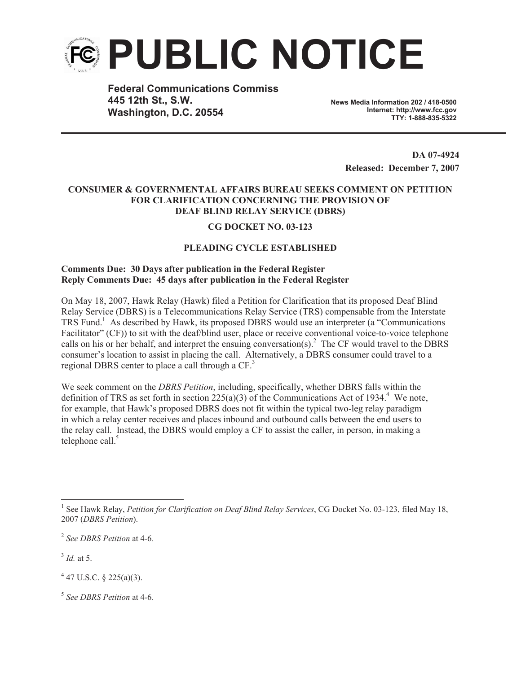

**Federal Communications Commiss 445 12th St., S.W. Washington, D.C. 20554**

**News Media Information 202 / 418-0500 Internet: http://www.fcc.gov TTY: 1-888-835-5322**

> **DA 07-4924 Released: December 7, 2007**

## **CONSUMER & GOVERNMENTAL AFFAIRS BUREAU SEEKS COMMENT ON PETITION FOR CLARIFICATION CONCERNING THE PROVISION OF DEAF BLIND RELAY SERVICE (DBRS)**

## **CG DOCKET NO. 03-123**

## **PLEADING CYCLE ESTABLISHED**

## **Comments Due: 30 Days after publication in the Federal Register Reply Comments Due: 45 days after publication in the Federal Register**

On May 18, 2007, Hawk Relay (Hawk) filed a Petition for Clarification that its proposed Deaf Blind Relay Service (DBRS) is a Telecommunications Relay Service (TRS) compensable from the Interstate TRS Fund.<sup>1</sup> As described by Hawk, its proposed DBRS would use an interpreter (a "Communications") Facilitator" (CF)) to sit with the deaf/blind user, place or receive conventional voice-to-voice telephone calls on his or her behalf, and interpret the ensuing conversation(s).<sup>2</sup> The CF would travel to the DBRS consumer's location to assist in placing the call. Alternatively, a DBRS consumer could travel to a regional DBRS center to place a call through a CF.<sup>3</sup>

We seek comment on the *DBRS Petition*, including, specifically, whether DBRS falls within the definition of TRS as set forth in section 225(a)(3) of the Communications Act of 1934.<sup>4</sup> We note, for example, that Hawk's proposed DBRS does not fit within the typical two-leg relay paradigm in which a relay center receives and places inbound and outbound calls between the end users to the relay call. Instead, the DBRS would employ a CF to assist the caller, in person, in making a telephone call. $5$ 

3 *Id.* at 5.

 $4$  47 U.S.C. § 225(a)(3).

5 *See DBRS Petition* at 4-6*.*

<sup>1</sup> See Hawk Relay, *Petition for Clarification on Deaf Blind Relay Services*, CG Docket No. 03-123, filed May 18, 2007 (*DBRS Petition*).

<sup>2</sup> *See DBRS Petition* at 4-6*.*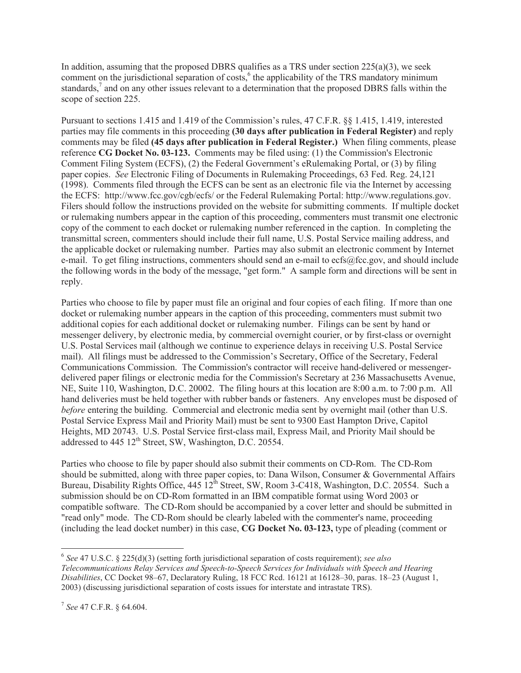In addition, assuming that the proposed DBRS qualifies as a TRS under section 225(a)(3), we seek comment on the jurisdictional separation of costs,<sup>6</sup> the applicability of the TRS mandatory minimum standards, $^7$  and on any other issues relevant to a determination that the proposed DBRS falls within the scope of section 225.

Pursuant to sections 1.415 and 1.419 of the Commission's rules, 47 C.F.R. §§ 1.415, 1.419, interested parties may file comments in this proceeding **(30 days after publication in Federal Register)** and reply comments may be filed **(45 days after publication in Federal Register.)** When filing comments, please reference **CG Docket No. 03-123.** Comments may be filed using: (1) the Commission's Electronic Comment Filing System (ECFS), (2) the Federal Government's eRulemaking Portal, or (3) by filing paper copies. *See* Electronic Filing of Documents in Rulemaking Proceedings, 63 Fed. Reg. 24,121 (1998). Comments filed through the ECFS can be sent as an electronic file via the Internet by accessing the ECFS: http://www.fcc.gov/cgb/ecfs/ or the Federal Rulemaking Portal: http://www.regulations.gov. Filers should follow the instructions provided on the website for submitting comments. If multiple docket or rulemaking numbers appear in the caption of this proceeding, commenters must transmit one electronic copy of the comment to each docket or rulemaking number referenced in the caption. In completing the transmittal screen, commenters should include their full name, U.S. Postal Service mailing address, and the applicable docket or rulemaking number. Parties may also submit an electronic comment by Internet e-mail. To get filing instructions, commenters should send an e-mail to ecfs@fcc.gov, and should include the following words in the body of the message, "get form." A sample form and directions will be sent in reply.

Parties who choose to file by paper must file an original and four copies of each filing. If more than one docket or rulemaking number appears in the caption of this proceeding, commenters must submit two additional copies for each additional docket or rulemaking number. Filings can be sent by hand or messenger delivery, by electronic media, by commercial overnight courier, or by first-class or overnight U.S. Postal Services mail (although we continue to experience delays in receiving U.S. Postal Service mail). All filings must be addressed to the Commission's Secretary, Office of the Secretary, Federal Communications Commission. The Commission's contractor will receive hand-delivered or messengerdelivered paper filings or electronic media for the Commission's Secretary at 236 Massachusetts Avenue, NE, Suite 110, Washington, D.C. 20002. The filing hours at this location are 8:00 a.m. to 7:00 p.m. All hand deliveries must be held together with rubber bands or fasteners. Any envelopes must be disposed of *before* entering the building. Commercial and electronic media sent by overnight mail (other than U.S. Postal Service Express Mail and Priority Mail) must be sent to 9300 East Hampton Drive, Capitol Heights, MD 20743. U.S. Postal Service first-class mail, Express Mail, and Priority Mail should be addressed to  $445 \frac{12^{th}}{25}$  Street, SW, Washington, D.C. 20554.

Parties who choose to file by paper should also submit their comments on CD-Rom. The CD-Rom should be submitted, along with three paper copies, to: Dana Wilson, Consumer & Governmental Affairs Bureau, Disability Rights Office, 445 12<sup>th</sup> Street, SW, Room 3-C418, Washington, D.C. 20554. Such a submission should be on CD-Rom formatted in an IBM compatible format using Word 2003 or compatible software. The CD-Rom should be accompanied by a cover letter and should be submitted in "read only" mode. The CD-Rom should be clearly labeled with the commenter's name, proceeding (including the lead docket number) in this case, **CG Docket No. 03-123,** type of pleading (comment or

<sup>6</sup> *See* 47 U.S.C. § 225(d)(3) (setting forth jurisdictional separation of costs requirement); *see also Telecommunications Relay Services and Speech-to-Speech Services for Individuals with Speech and Hearing Disabilities*, CC Docket 98–67, Declaratory Ruling, 18 FCC Rcd. 16121 at 16128–30, paras. 18–23 (August 1, 2003) (discussing jurisdictional separation of costs issues for interstate and intrastate TRS).

<sup>7</sup> *See* 47 C.F.R. § 64.604.